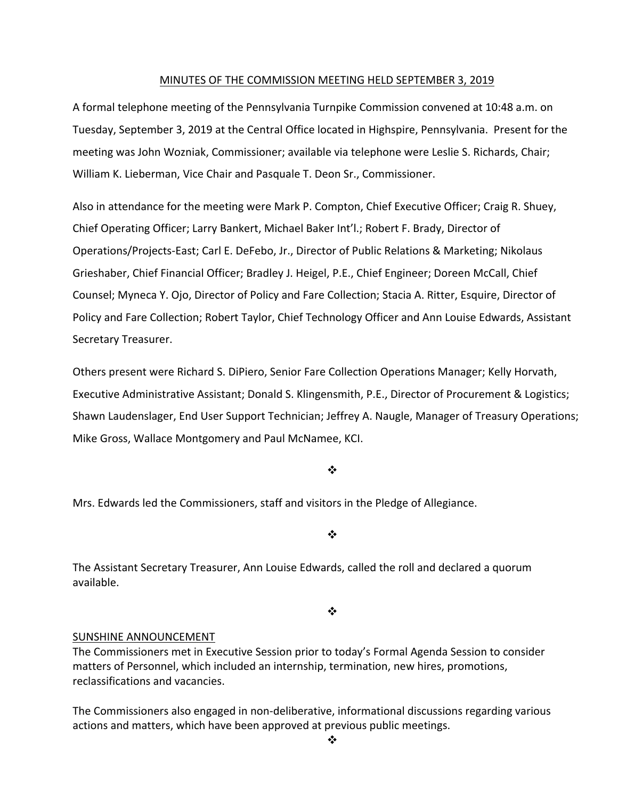### MINUTES OF THE COMMISSION MEETING HELD SEPTEMBER 3, 2019

A formal telephone meeting of the Pennsylvania Turnpike Commission convened at 10:48 a.m. on Tuesday, September 3, 2019 at the Central Office located in Highspire, Pennsylvania. Present for the meeting was John Wozniak, Commissioner; available via telephone were Leslie S. Richards, Chair; William K. Lieberman, Vice Chair and Pasquale T. Deon Sr., Commissioner.

Also in attendance for the meeting were Mark P. Compton, Chief Executive Officer; Craig R. Shuey, Chief Operating Officer; Larry Bankert, Michael Baker Int'l.; Robert F. Brady, Director of Operations/Projects‐East; Carl E. DeFebo, Jr., Director of Public Relations & Marketing; Nikolaus Grieshaber, Chief Financial Officer; Bradley J. Heigel, P.E., Chief Engineer; Doreen McCall, Chief Counsel; Myneca Y. Ojo, Director of Policy and Fare Collection; Stacia A. Ritter, Esquire, Director of Policy and Fare Collection; Robert Taylor, Chief Technology Officer and Ann Louise Edwards, Assistant Secretary Treasurer.

Others present were Richard S. DiPiero, Senior Fare Collection Operations Manager; Kelly Horvath, Executive Administrative Assistant; Donald S. Klingensmith, P.E., Director of Procurement & Logistics; Shawn Laudenslager, End User Support Technician; Jeffrey A. Naugle, Manager of Treasury Operations; Mike Gross, Wallace Montgomery and Paul McNamee, KCI.

#### $\frac{1}{2}$

Mrs. Edwards led the Commissioners, staff and visitors in the Pledge of Allegiance.

❖

The Assistant Secretary Treasurer, Ann Louise Edwards, called the roll and declared a quorum available.

 $\cdot$ 

#### SUNSHINE ANNOUNCEMENT

The Commissioners met in Executive Session prior to today's Formal Agenda Session to consider matters of Personnel, which included an internship, termination, new hires, promotions, reclassifications and vacancies.

The Commissioners also engaged in non‐deliberative, informational discussions regarding various actions and matters, which have been approved at previous public meetings.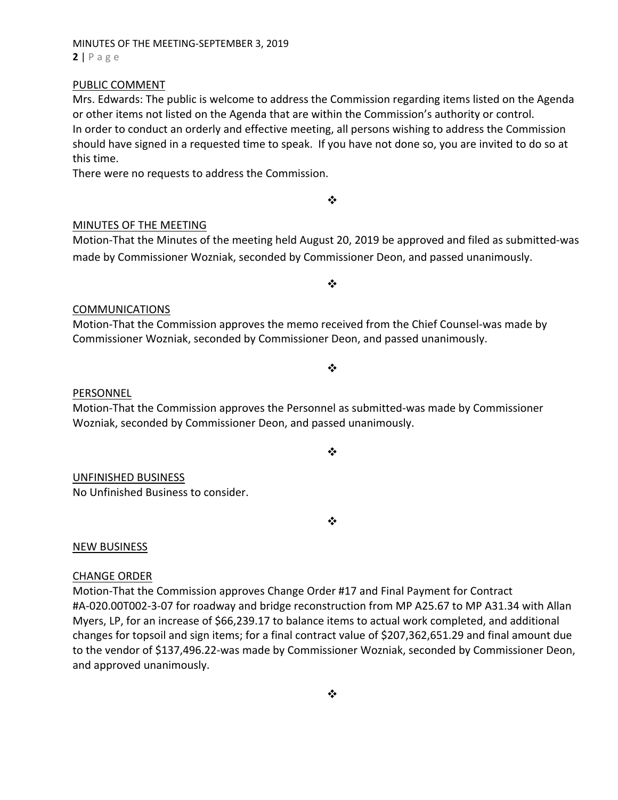# MINUTES OF THE MEETING‐SEPTEMBER 3, 2019 **2** | Page

### PUBLIC COMMENT

Mrs. Edwards: The public is welcome to address the Commission regarding items listed on the Agenda or other items not listed on the Agenda that are within the Commission's authority or control. In order to conduct an orderly and effective meeting, all persons wishing to address the Commission should have signed in a requested time to speak. If you have not done so, you are invited to do so at this time.

There were no requests to address the Commission.

### MINUTES OF THE MEETING

Motion‐That the Minutes of the meeting held August 20, 2019 be approved and filed as submitted‐was made by Commissioner Wozniak, seconded by Commissioner Deon, and passed unanimously.

 $\bullet^{\bullet}_{\bullet} \bullet$ 

 $\cdot$ 

#### COMMUNICATIONS

Motion‐That the Commission approves the memo received from the Chief Counsel‐was made by Commissioner Wozniak, seconded by Commissioner Deon, and passed unanimously.

❖

#### PERSONNEL

Motion‐That the Commission approves the Personnel as submitted‐was made by Commissioner Wozniak, seconded by Commissioner Deon, and passed unanimously.

 $\bullet^{\bullet}_{\bullet} \bullet$ 

# UNFINISHED BUSINESS

No Unfinished Business to consider.

NEW BUSINESS

#### CHANGE ORDER

Motion‐That the Commission approves Change Order #17 and Final Payment for Contract #A‐020.00T002‐3‐07 for roadway and bridge reconstruction from MP A25.67 to MP A31.34 with Allan Myers, LP, for an increase of \$66,239.17 to balance items to actual work completed, and additional changes for topsoil and sign items; for a final contract value of \$207,362,651.29 and final amount due to the vendor of \$137,496.22‐was made by Commissioner Wozniak, seconded by Commissioner Deon, and approved unanimously.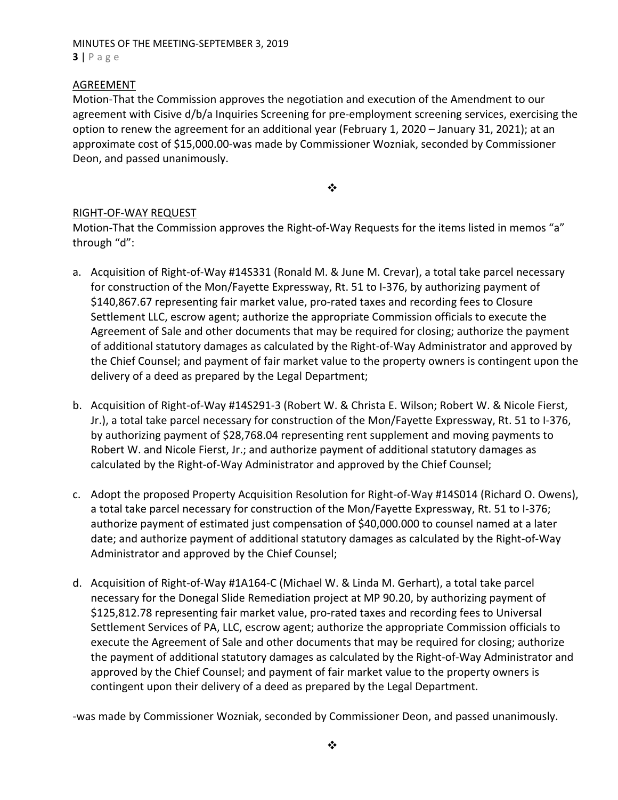MINUTES OF THE MEETING‐SEPTEMBER 3, 2019 **3** | Page

# AGREEMENT

Motion‐That the Commission approves the negotiation and execution of the Amendment to our agreement with Cisive d/b/a Inquiries Screening for pre-employment screening services, exercising the option to renew the agreement for an additional year (February 1, 2020 – January 31, 2021); at an approximate cost of \$15,000.00‐was made by Commissioner Wozniak, seconded by Commissioner Deon, and passed unanimously.

❖

# RIGHT‐OF‐WAY REQUEST

Motion-That the Commission approves the Right-of-Way Requests for the items listed in memos "a" through "d":

- a. Acquisition of Right-of-Way #14S331 (Ronald M. & June M. Crevar), a total take parcel necessary for construction of the Mon/Fayette Expressway, Rt. 51 to I‐376, by authorizing payment of \$140,867.67 representing fair market value, pro‐rated taxes and recording fees to Closure Settlement LLC, escrow agent; authorize the appropriate Commission officials to execute the Agreement of Sale and other documents that may be required for closing; authorize the payment of additional statutory damages as calculated by the Right‐of‐Way Administrator and approved by the Chief Counsel; and payment of fair market value to the property owners is contingent upon the delivery of a deed as prepared by the Legal Department;
- b. Acquisition of Right‐of‐Way #14S291‐3 (Robert W. & Christa E. Wilson; Robert W. & Nicole Fierst, Jr.), a total take parcel necessary for construction of the Mon/Fayette Expressway, Rt. 51 to I‐376, by authorizing payment of \$28,768.04 representing rent supplement and moving payments to Robert W. and Nicole Fierst, Jr.; and authorize payment of additional statutory damages as calculated by the Right‐of‐Way Administrator and approved by the Chief Counsel;
- c. Adopt the proposed Property Acquisition Resolution for Right‐of‐Way #14S014 (Richard O. Owens), a total take parcel necessary for construction of the Mon/Fayette Expressway, Rt. 51 to I‐376; authorize payment of estimated just compensation of \$40,000.000 to counsel named at a later date; and authorize payment of additional statutory damages as calculated by the Right‐of‐Way Administrator and approved by the Chief Counsel;
- d. Acquisition of Right‐of‐Way #1A164‐C (Michael W. & Linda M. Gerhart), a total take parcel necessary for the Donegal Slide Remediation project at MP 90.20, by authorizing payment of \$125,812.78 representing fair market value, pro-rated taxes and recording fees to Universal Settlement Services of PA, LLC, escrow agent; authorize the appropriate Commission officials to execute the Agreement of Sale and other documents that may be required for closing; authorize the payment of additional statutory damages as calculated by the Right‐of‐Way Administrator and approved by the Chief Counsel; and payment of fair market value to the property owners is contingent upon their delivery of a deed as prepared by the Legal Department.

‐was made by Commissioner Wozniak, seconded by Commissioner Deon, and passed unanimously.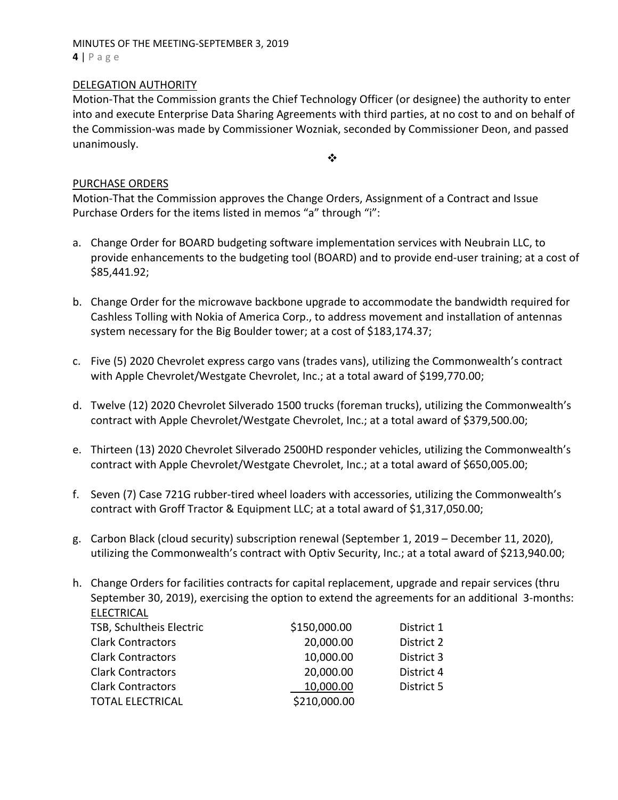MINUTES OF THE MEETING‐SEPTEMBER 3, 2019 **4** | Page

### DELEGATION AUTHORITY

Motion‐That the Commission grants the Chief Technology Officer (or designee) the authority to enter into and execute Enterprise Data Sharing Agreements with third parties, at no cost to and on behalf of the Commission‐was made by Commissioner Wozniak, seconded by Commissioner Deon, and passed unanimously.

❖

# PURCHASE ORDERS

Motion‐That the Commission approves the Change Orders, Assignment of a Contract and Issue Purchase Orders for the items listed in memos "a" through "i":

- a. Change Order for BOARD budgeting software implementation services with Neubrain LLC, to provide enhancements to the budgeting tool (BOARD) and to provide end‐user training; at a cost of \$85,441.92;
- b. Change Order for the microwave backbone upgrade to accommodate the bandwidth required for Cashless Tolling with Nokia of America Corp., to address movement and installation of antennas system necessary for the Big Boulder tower; at a cost of \$183,174.37;
- c. Five (5) 2020 Chevrolet express cargo vans (trades vans), utilizing the Commonwealth's contract with Apple Chevrolet/Westgate Chevrolet, Inc.; at a total award of \$199,770.00;
- d. Twelve (12) 2020 Chevrolet Silverado 1500 trucks (foreman trucks), utilizing the Commonwealth's contract with Apple Chevrolet/Westgate Chevrolet, Inc.; at a total award of \$379,500.00;
- e. Thirteen (13) 2020 Chevrolet Silverado 2500HD responder vehicles, utilizing the Commonwealth's contract with Apple Chevrolet/Westgate Chevrolet, Inc.; at a total award of \$650,005.00;
- f. Seven (7) Case 721G rubber-tired wheel loaders with accessories, utilizing the Commonwealth's contract with Groff Tractor & Equipment LLC; at a total award of \$1,317,050.00;
- g. Carbon Black (cloud security) subscription renewal (September 1, 2019 December 11, 2020), utilizing the Commonwealth's contract with Optiv Security, Inc.; at a total award of \$213,940.00;
- h. Change Orders for facilities contracts for capital replacement, upgrade and repair services (thru September 30, 2019), exercising the option to extend the agreements for an additional 3‐months: ELECTRICAL

| TSB, Schultheis Electric | \$150,000.00 | District 1 |
|--------------------------|--------------|------------|
| <b>Clark Contractors</b> | 20,000.00    | District 2 |
| <b>Clark Contractors</b> | 10,000.00    | District 3 |
| <b>Clark Contractors</b> | 20,000.00    | District 4 |
| <b>Clark Contractors</b> | 10,000.00    | District 5 |
| <b>TOTAL ELECTRICAL</b>  | \$210,000.00 |            |
|                          |              |            |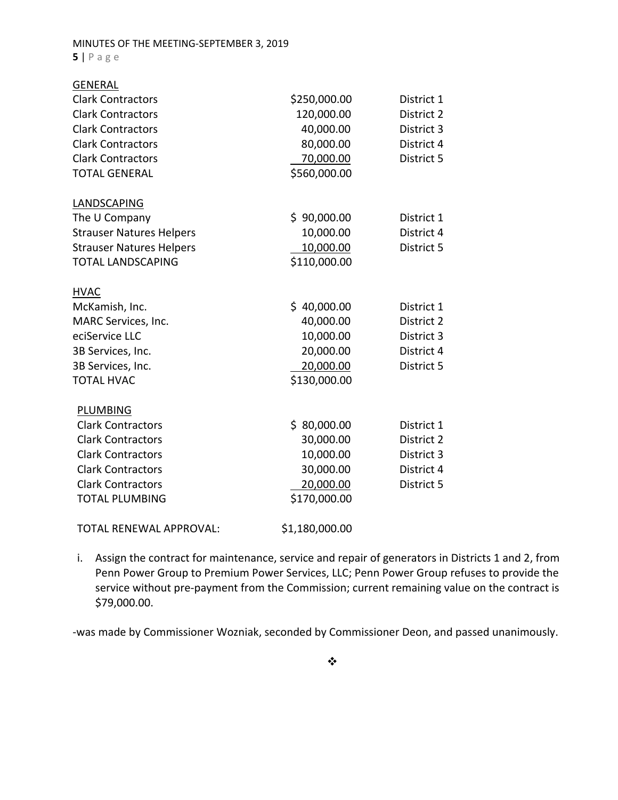#### MINUTES OF THE MEETING‐SEPTEMBER 3, 2019 **5** | Page

| <b>GENERAL</b>                  |                           |            |
|---------------------------------|---------------------------|------------|
| <b>Clark Contractors</b>        | \$250,000.00              | District 1 |
| <b>Clark Contractors</b>        | 120,000.00                | District 2 |
| <b>Clark Contractors</b>        | 40,000.00                 | District 3 |
| <b>Clark Contractors</b>        | 80,000.00                 | District 4 |
| <b>Clark Contractors</b>        | 70,000.00                 | District 5 |
| <b>TOTAL GENERAL</b>            | \$560,000.00              |            |
| LANDSCAPING                     |                           |            |
| The U Company                   | \$90,000.00               | District 1 |
| <b>Strauser Natures Helpers</b> | 10,000.00                 | District 4 |
| <b>Strauser Natures Helpers</b> |                           | District 5 |
| <b>TOTAL LANDSCAPING</b>        | 10,000.00<br>\$110,000.00 |            |
|                                 |                           |            |
| <b>HVAC</b>                     |                           |            |
| McKamish, Inc.                  | \$40,000.00               | District 1 |
| MARC Services, Inc.             | 40,000.00                 | District 2 |
| eciService LLC                  | 10,000.00                 | District 3 |
| 3B Services, Inc.               | 20,000.00                 | District 4 |
| 3B Services, Inc.               | 20,000.00                 | District 5 |
| <b>TOTAL HVAC</b>               | \$130,000.00              |            |
| <b>PLUMBING</b>                 |                           |            |
| <b>Clark Contractors</b>        | \$80,000.00               | District 1 |
| <b>Clark Contractors</b>        | 30,000.00                 | District 2 |
| <b>Clark Contractors</b>        | 10,000.00                 | District 3 |
|                                 |                           | District 4 |
| <b>Clark Contractors</b>        | 30,000.00                 |            |
| <b>Clark Contractors</b>        | 20,000.00                 | District 5 |
| <b>TOTAL PLUMBING</b>           | \$170,000.00              |            |
| <b>TOTAL RENEWAL APPROVAL:</b>  | \$1,180,000.00            |            |

i. Assign the contract for maintenance, service and repair of generators in Districts 1 and 2, from Penn Power Group to Premium Power Services, LLC; Penn Power Group refuses to provide the service without pre-payment from the Commission; current remaining value on the contract is \$79,000.00.

‐was made by Commissioner Wozniak, seconded by Commissioner Deon, and passed unanimously.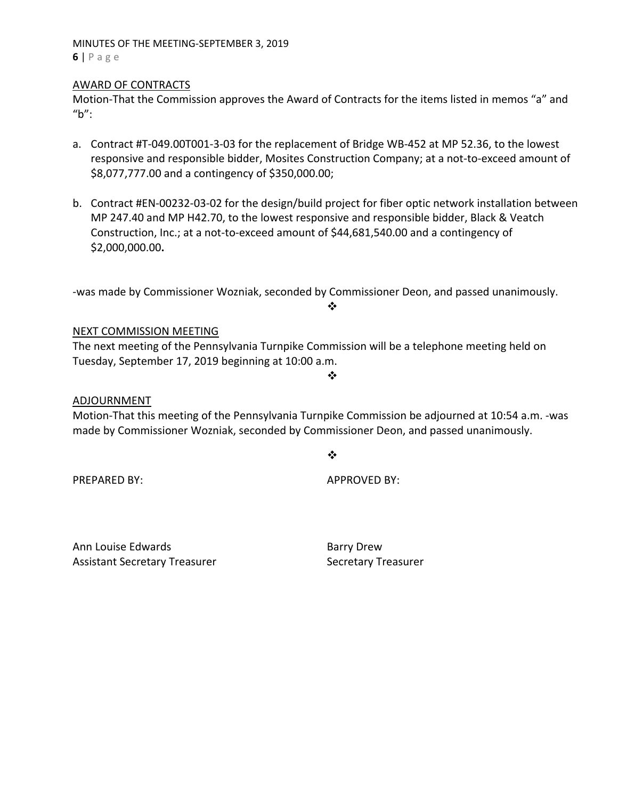MINUTES OF THE MEETING‐SEPTEMBER 3, 2019 **6** | Page

### AWARD OF CONTRACTS

Motion‐That the Commission approves the Award of Contracts for the items listed in memos "a" and  $"b"$ :

- a. Contract #T‐049.00T001‐3‐03 for the replacement of Bridge WB‐452 at MP 52.36, to the lowest responsive and responsible bidder, Mosites Construction Company; at a not‐to‐exceed amount of \$8,077,777.00 and a contingency of \$350,000.00;
- b. Contract #EN‐00232‐03‐02 for the design/build project for fiber optic network installation between MP 247.40 and MP H42.70, to the lowest responsive and responsible bidder, Black & Veatch Construction, Inc.; at a not‐to‐exceed amount of \$44,681,540.00 and a contingency of \$2,000,000.00**.**

‐was made by Commissioner Wozniak, seconded by Commissioner Deon, and passed unanimously.

 $\bullet^{\bullet}_{\bullet} \bullet$ 

❖

# NEXT COMMISSION MEETING

The next meeting of the Pennsylvania Turnpike Commission will be a telephone meeting held on Tuesday, September 17, 2019 beginning at 10:00 a.m.

### ADJOURNMENT

Motion‐That this meeting of the Pennsylvania Turnpike Commission be adjourned at 10:54 a.m. ‐was made by Commissioner Wozniak, seconded by Commissioner Deon, and passed unanimously.

 $\frac{1}{2}$ 

PREPARED BY:  $\blacksquare$   $\blacksquare$   $\blacksquare$   $\blacksquare$   $\blacksquare$   $\blacksquare$   $\blacksquare$   $\blacksquare$   $\blacksquare$   $\blacksquare$   $\blacksquare$   $\blacksquare$   $\blacksquare$   $\blacksquare$   $\blacksquare$   $\blacksquare$   $\blacksquare$   $\blacksquare$   $\blacksquare$   $\blacksquare$   $\blacksquare$   $\blacksquare$   $\blacksquare$   $\blacksquare$   $\blacksquare$   $\blacksquare$   $\blacksquare$   $\blacksquare$   $\blacksquare$   $\blacksquare$ 

Ann Louise Edwards Barry Drew Assistant Secretary Treasurer **Base Constructs** Secretary Treasurer